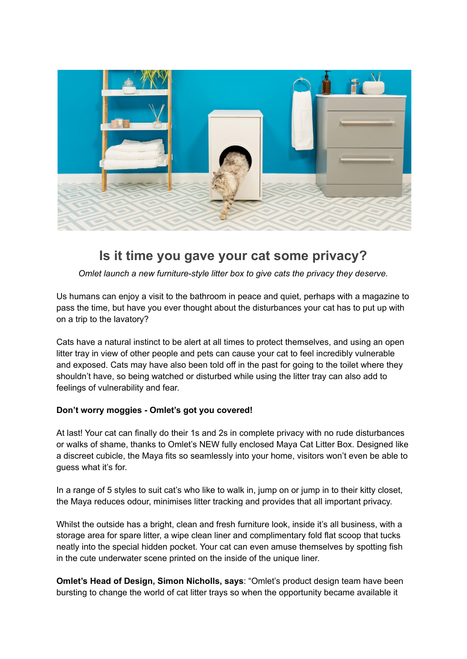

## **Is it time you gave your cat some privacy?**

*Omlet launch a new furniture-style litter box to give cats the privacy they deserve.*

Us humans can enjoy a visit to the bathroom in peace and quiet, perhaps with a magazine to pass the time, but have you ever thought about the disturbances your cat has to put up with on a trip to the lavatory?

Cats have a natural instinct to be alert at all times to protect themselves, and using an open litter tray in view of other people and pets can cause your cat to feel incredibly vulnerable and exposed. Cats may have also been told off in the past for going to the toilet where they shouldn't have, so being watched or disturbed while using the litter tray can also add to feelings of vulnerability and fear.

## **Don't worry moggies - Omlet's got you covered!**

At last! Your cat can finally do their 1s and 2s in complete privacy with no rude disturbances or walks of shame, thanks to Omlet's NEW fully enclosed Maya Cat Litter Box. Designed like a discreet cubicle, the Maya fits so seamlessly into your home, visitors won't even be able to guess what it's for.

In a range of 5 styles to suit cat's who like to walk in, jump on or jump in to their kitty closet, the Maya reduces odour, minimises litter tracking and provides that all important privacy.

Whilst the outside has a bright, clean and fresh furniture look, inside it's all business, with a storage area for spare litter, a wipe clean liner and complimentary fold flat scoop that tucks neatly into the special hidden pocket. Your cat can even amuse themselves by spotting fish in the cute underwater scene printed on the inside of the unique liner.

**Omlet's Head of Design, Simon Nicholls, says**: "Omlet's product design team have been bursting to change the world of cat litter trays so when the opportunity became available it